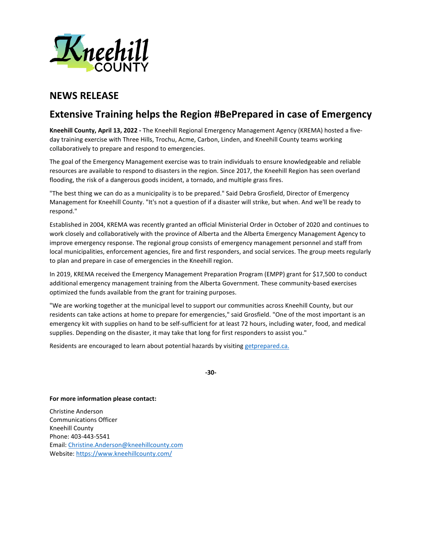

## **NEWS RELEASE**

## **Extensive Training helps the Region #BePrepared in case of Emergency**

**Kneehill County, April 13, 2022 -** The Kneehill Regional Emergency Management Agency (KREMA) hosted a fiveday training exercise with Three Hills, Trochu, Acme, Carbon, Linden, and Kneehill County teams working collaboratively to prepare and respond to emergencies.

The goal of the Emergency Management exercise was to train individuals to ensure knowledgeable and reliable resources are available to respond to disasters in the region. Since 2017, the Kneehill Region has seen overland flooding, the risk of a dangerous goods incident, a tornado, and multiple grass fires.

"The best thing we can do as a municipality is to be prepared." Said Debra Grosfield, Director of Emergency Management for Kneehill County. "It's not a question of if a disaster will strike, but when. And we'll be ready to respond."

Established in 2004, KREMA was recently granted an official Ministerial Order in October of 2020 and continues to work closely and collaboratively with the province of Alberta and the Alberta Emergency Management Agency to improve emergency response. The regional group consists of emergency management personnel and staff from local municipalities, enforcement agencies, fire and first responders, and social services. The group meets regularly to plan and prepare in case of emergencies in the Kneehill region.

In 2019, KREMA received the Emergency Management Preparation Program (EMPP) grant for \$17,500 to conduct additional emergency management training from the Alberta Government. These community-based exercises optimized the funds available from the grant for training purposes.

"We are working together at the municipal level to support our communities across Kneehill County, but our residents can take actions at home to prepare for emergencies," said Grosfield. "One of the most important is an emergency kit with supplies on hand to be self-sufficient for at least 72 hours, including water, food, and medical supplies. Depending on the disaster, it may take that long for first responders to assist you."

Residents are encouraged to learn about potential hazards by visitin[g getprepared.ca.](https://www.getprepared.gc.ca/)

**-30-**

## **For more information please contact:**

Christine Anderson Communications Officer Kneehill County Phone: 403-443-5541 Email: [Christine.Anderson@kneehillcounty.com](mailto:Christine.Anderson@kneehillcounty.com) Website[: https://www.kneehillcounty.com/](https://www.kneehillcounty.com/)